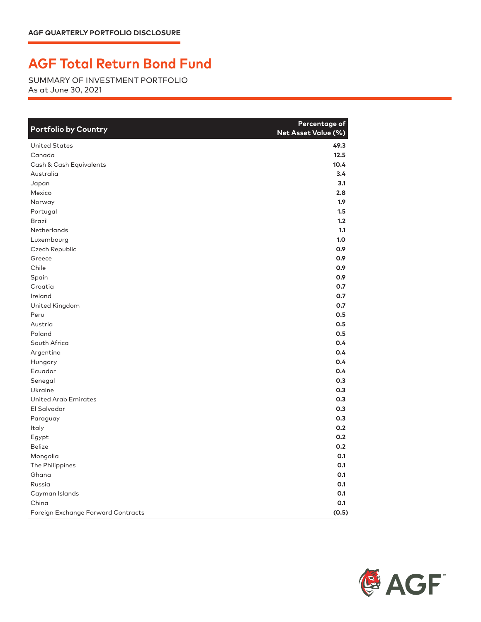## **AGF Total Return Bond Fund**

SUMMARY OF INVESTMENT PORTFOLIO As at June 30, 2021

| <b>Portfolio by Country</b>        | Percentage of<br>Net Asset Value (%) |
|------------------------------------|--------------------------------------|
| <b>United States</b>               | 49.3                                 |
| Canada                             | 12.5                                 |
| Cash & Cash Equivalents            | 10.4                                 |
| Australia                          | 3.4                                  |
| Japan                              | 3.1                                  |
| Mexico                             | 2.8                                  |
| Norway                             | 1.9 <sup>2</sup>                     |
| Portugal                           | 1.5                                  |
| <b>Brazil</b>                      | 1.2                                  |
| Netherlands                        | 1.1                                  |
| Luxembourg                         | 1.0                                  |
| Czech Republic                     | 0.9                                  |
| Greece                             | 0.9                                  |
| Chile                              | 0.9                                  |
| Spain                              | 0.9                                  |
| Croatia                            | 0.7                                  |
| Ireland                            | 0.7                                  |
| United Kingdom                     | 0.7                                  |
| Peru                               | 0.5                                  |
| Austria                            | 0.5                                  |
| Poland                             | 0.5                                  |
| South Africa                       | 0.4                                  |
| Argentina                          | 0.4                                  |
| Hungary                            | 0.4                                  |
| Ecuador                            | 0.4                                  |
| Senegal                            | 0.3                                  |
| Ukraine                            | 0.3                                  |
| <b>United Arab Emirates</b>        | 0.3                                  |
| El Salvador                        | 0.3                                  |
| Paraguay                           | 0.3                                  |
| Italy                              | 0.2                                  |
| Egypt                              | 0.2                                  |
| <b>Belize</b>                      | 0.2                                  |
| Mongolia                           | 0.1                                  |
| The Philippines                    | 0.1                                  |
| Ghana                              | 0.1                                  |
| Russia                             | 0.1                                  |
| Cayman Islands                     | 0.1                                  |
| China                              | O.1                                  |
| Foreign Exchange Forward Contracts | (0.5)                                |

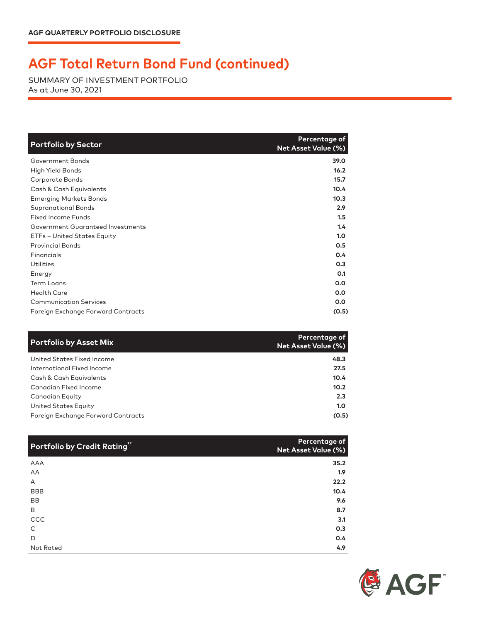## **AGF Total Return Bond Fund (continued)**

SUMMARY OF INVESTMENT PORTFOLIO As at June 30, 2021

| <b>Portfolio by Sector</b>         | Percentage of<br><b>Net Asset Value (%)</b> |
|------------------------------------|---------------------------------------------|
| Government Bonds                   | 39.0                                        |
| High Yield Bonds                   | 16.2                                        |
| Corporate Bonds                    | 15.7                                        |
| Cash & Cash Equivalents            | 10.4                                        |
| <b>Emerging Markets Bonds</b>      | 10.3                                        |
| <b>Supranational Bonds</b>         | 2.9                                         |
| <b>Fixed Income Funds</b>          | 1.5                                         |
| Government Guaranteed Investments  | 1.4                                         |
| ETFs - United States Equity        | 1.0                                         |
| <b>Provincial Bonds</b>            | 0.5                                         |
| Financials                         | 0.4                                         |
| <b>Utilities</b>                   | 0.3                                         |
| Energy                             | 0.1                                         |
| <b>Term Loans</b>                  | 0.0                                         |
| <b>Health Care</b>                 | 0.0                                         |
| <b>Communication Services</b>      | 0.0                                         |
| Foreign Exchange Forward Contracts | (0.5)                                       |

| <b>Portfolio by Asset Mix</b>      | Percentage of<br><b>Net Asset Value (%)</b> |
|------------------------------------|---------------------------------------------|
| United States Fixed Income         | 48.3                                        |
| International Fixed Income         | 27.5                                        |
| Cash & Cash Equivalents            | 10.4                                        |
| Canadian Fixed Income              | 10.2                                        |
| Canadian Equity                    | 2.3                                         |
| United States Equity               | 1.0                                         |
| Foreign Exchange Forward Contracts | (0.5)                                       |

| Portfolio by Credit Rating" | Percentage of<br>Net Asset Value (%) |
|-----------------------------|--------------------------------------|
| <b>AAA</b>                  | 35.2                                 |
| AA                          | 1.9                                  |
| A                           | 22.2                                 |
| <b>BBB</b>                  | 10.4                                 |
| <b>BB</b>                   | 9.6                                  |
| B                           | 8.7                                  |
| CCC                         | 3.1                                  |
| C                           | 0.3                                  |
| D                           | 0.4                                  |
| Not Rated                   | 4.9                                  |